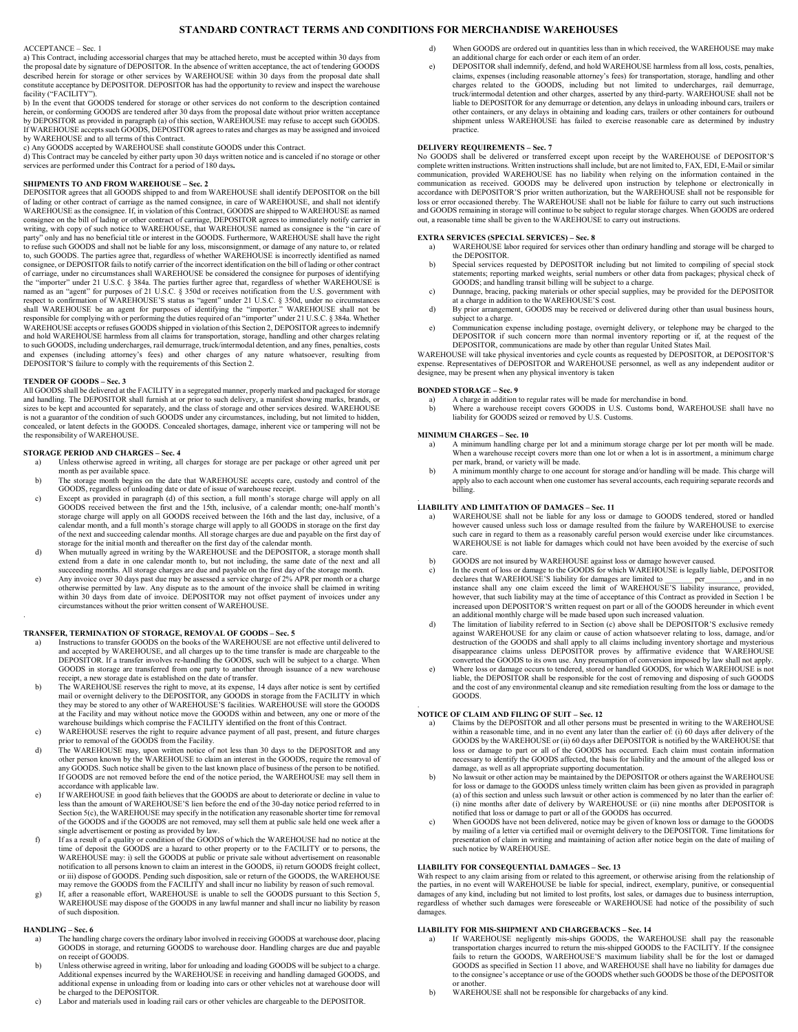# **STANDARD CONTRACT TERMS AND CONDITIONS FOR MERCHANDISE WAREHOUSES**

# ACCEPTANCE – Sec. 1

a) This Contract, including accessorial charges that may be attached hereto, must be accepted within 30 days from the proposal date by signature of DEPOSITOR. In the absence of written acceptance, the act of tendering GOODS described herein for storage or other services by WAREHOUSE within 30 days from the proposal date shall constitute acceptance by DEPOSITOR. DEPOSITOR has had the opportunity to review and inspect the warehouse facility ("FACILITY").

b) In the event that GOODS tendered for storage or other services do not conform to the description contained herein, or conforming GOODS are tendered after 30 days from the proposal date without prior written acceptance by DEPOSITOR as provided in paragraph (a) of this section, WAREHOUSE may refuse to accept such GOODS. If WAREHOUSE accepts such GOODS, DEPOSITOR agrees to rates and charges as may be assigned and invoiced by WAREHOUSE and to all terms of this Contract.

c) Any GOODS accepted by WAREHOUSE shall constitute GOODS under this Contract.

d) This Contract may be canceled by either party upon 30 days written notice and is canceled if no storage or other services are performed under this Contract for a period of 180 days**.**

### **SHIPMENTS TO AND FROM WAREHOUSE – Sec. 2**

DEPOSITOR agrees that all GOODS shipped to and from WAREHOUSE shall identify DEPOSITOR on the bill of lading or other contract of carriage as the named consignee, in care of WAREHOUSE, and shall not identify WAREHOUSE as the consignee. If, in violation of this Contract, GOODS are shipped to WAREHOUSE as named consignee on the bill of lading or other contract of carriage, DEPOSITOR agrees to immediately notify carrier in writing, with copy of such notice to WAREHOUSE, that WAREHOUSE named as consignee is the "in care of party" only and has no beneficial title or interest in the GOODS. Furthermore, WAREHOUSE shall have the right to refuse such GOODS and shall not be liable for any loss, misconsignment, or damage of any nature to, or related to, such GOODS. The parties agree that, regardless of whether WAREHOUSE is incorrectly identified as named consignee, or DEPOSITOR fails to notify carrier of the incorrect identification on the bill of lading or other contract of carriage, under no circumstances shall WAREHOUSE be considered the consignee for purposes of identifying the "importer" under 21 U.S.C. § 384a. The parties finther agree that, regardless of whether WAREHOUSE is named as and hold WAREHOUSE harmless from all claims for transportation, storage, handling and other charges relating to such GOODS, including undercharges, rail demurrage, truck/intermodal detention, and any fines, penalties, costs and expenses (including attorney's fees) and other charges of any nature whatsoever, resulting from DEPOSITOR'S failure to comply with the requirements of this Section 2.

#### **TENDER OF GOODS – Sec. 3**

All GOODS shall be delivered at the FACILITY in a segregated manner, properly marked and packaged for storage and handling. The DEPOSITOR shall furnish at or prior to such delivery, a manifest showing marks, brands, or sizes to be kept and accounted for separately, and the class of storage and other services desired. WAREHOUSE is not a guarantor of the condition of such GOODS under any circumstances, including, but not limited to hidden, concealed, or latent defects in the GOODS. Concealed shortages, damage, inherent vice or tampering will not be the responsibility of WAREHOUSE.

### **STORAGE PERIOD AND CHARGES – Sec. 4**

- a) Unless otherwise agreed in writing, all charges for storage are per package or other agreed unit per month as per available space.
- b) The storage month begins on the date that WAREHOUSE accepts care, custody and control of the GOODS, regardless of unloading date or date of issue of warehouse receipt.
- c) Except as provided in paragraph (d) of this section, a full month's storage charge will apply on all GOODS received between the first and the 15th, inclusive, of a calendar month; one-half month's storage charge will apply on all GOODS received between the 16th and the last day, inclusive, of a calendar month, and a full month's storage charge will apply to all GOODS in storage on the first day of the next and succeeding calendar months. All storage charges are due and payable on the first day of storage for the initial month and thereafter on the first day of the calendar month.
- d) When mutually agreed in writing by the WAREHOUSE and the DEPOSITOR, a storage month shall extend from a date in one calendar month to, but not including, the same date of the next and all
- succeeding months. All storage charges are due and payable on the first day of the storage month.<br>e) Any invoice over 30 days past due may be assessed a service charge of 2% APR per month or a charge otherwise permitted by law. Any dispute as to the amount of the invoice shall be claimed in writing within 30 days from date of invoice. DEPOSITOR may not offset payment of invoices under any circumstances without the prior written consent of WAREHOUSE.

#### **TRANSFER, TERMINATION OF STORAGE, REMOVAL OF GOODS – Sec. 5**

- a) Instructions to transfer GOODS on the books of the WAREHOUSE are not effective until delivered to and accepted by WAREHOUSE, and all charges up to the time transfer is made are chargeable to the DEPOSITOR. If a transfer involves re-handling the GOODS, such will be subject to a charge. When GOODS in storage are transferred from one party to another through issuance of a new warehouse receipt, a new storage date is established on the date of transfer.
- b) The WAREHOUSE reserves the right to move, at its expense, 14 days after notice is sent by certified mail or overnight delivery to the DEPOSITOR, any GOODS in storage from the FACILITY in which<br>they may be stored to any at the Facility and may without notice move the GOODS within and between, any one or more of the warehouse buildings which comprise the FACILITY identified on the front of this Contract.
- c) WAREHOUSE reserves the right to require advance payment of all past, present, and future charges prior to removal of the GOODS from the Facility.<br>
d) The WAREHOUSE may, upon written notice of not less than 30 days to the DEPOSITOR and any
- other person known by the WAREHOUSE to claim an interest in the GOODS, require the removal of any GOODS. Such notice shall be given to the last known place of business of the person to be notified. If GOODS are not removed before the end of the notice period, the WAREHOUSE may sell them in
- accordance with applicable law. e) If WAREHOUSE in good faith believes that the GOODS are about to deteriorate or decline in value to less than the amount of WAREHOUSE'S lien before the end of the 30-day notice period referred to in Section 5(c), the WAREHOUSE may specify in the notification any reasonable shorter time for removal of the GOODS and if the GOODS are not removed, may sell them at public sale held one week after a
- single advertisement or posting as provided by law. f) If as a result of a quality or condition of the GOODS of which the WAREHOUSE had no notice at the time of deposit the GOODS are a hazard to other property or to the FACILITY or to persons, the WAREHOUSE may: i) sell the GOODS at public or private sale without advertisement on reasonable notification to all persons known to claim an interest in the GOODS, ii) return GOODS freight collect, or iii) dispose of GOODS. Pending such disposition, sale or return of the GOODS, the WAREHOUSE may remove the GOODS from the FACILITY and shall incur no liability by reason of such removal.
- g) If, after a reasonable effort, WAREHOUSE is unable to sell the GOODS pursuant to this Section 5, WAREHOUSE may dispose of the GOODS in any lawful manner and shall incur no liability by reason of such disposition.

# **HANDLING – Sec. 6**<br>a) The handlin

.

- a) The handling charge covers the ordinary labor involved in receiving GOODS at warehouse door, placing GOODS in storage, and returning GOODS to warehouse door. Handling charges are due and payable on receipt of GOODS.
- b) Unless otherwise agreed in writing, labor for unloading and loading GOODS will be subject to a charge. Additional expenses incurred by the WAREHOUSE in receiving and handling damaged GOODS, and additional expense in unloading from or loading into cars or other vehicles not at warehouse door will be charged to the DEPOSITOR.
- c) Labor and materials used in loading rail cars or other vehicles are chargeable to the DEPOSITOR.
- d) When GOODS are ordered out in quantities less than in which received, the WAREHOUSE may make
- an additional charge for each order or each item of an order. e) DEPOSITOR shall indemnify, defend, and hold WAREHOUSE harmless from all loss, costs, penalties, claims, expenses (including reasonable attorney's fees) for transportation, storage, handling and charges related to the GOODS, including but not limited to undercharges, rail demurrage, truck/intermodal detention and other charges, asserted by any third-party. WAREHOUSE shall not be liable to DEPOSITOR for any demurrage or detention, any delays in unloading inbound cars, trailers or other containers, or any delays in obtaining and loading cars, trailers or other containers for outbound shipment unless WAREHOUSE has failed to exercise reasonable care as determined by industry practice.

### **DELIVERY REQUIREMENTS – Sec. 7**

No GOODS shall be delivered or transferred except upon receipt by the WAREHOUSE of DEPOSITOR'S complete written instructions. Written instructions shall include, but are not limited to, FAX, EDI, E-Mail or similar communication, provided WAREHOUSE has no liability when relying on the information contained in the communication as received. GOODS may be delivered upon instruction by telephone or electronically in accordance with DEPOSITOR'S prior written authorization, but the WAREHOUSE shall not be responsible for loss or error occasioned thereby. The WAREHOUSE shall not be liable for failure to carry out such instructions and GOODS remaining in storage will continue to be subject to regular storage charges. When GOODS are ordered out, a reasonable time shall be given to the WAREHOUSE to carry out instructions.

## **EXTRA SERVICES (SPECIAL SERVICES) – Sec. 8**

a) WAREHOUSE labor required for services other than ordinary handling and storage will be charged to the DEPOSITOR.

- b) Special services requested by DEPOSITOR including but not limited to compiling of special stock statements; reporting marked weights, serial numbers or other data from packages; physical check of GOODS; and handling transit billing will be subject to a charge.
- c) Dunnage, bracing, packing materials or other special supplies, may be provided for the DEPOSITOR at a charge in addition to the WAREHOUSE'S cost.
- d) By prior arrangement, GOODS may be received or delivered during other than usual business hours, subject to a charge.
- e) Communication expense including postage, overnight delivery, or telephone may be charged to the DEPOSITOR if such concern more than normal inventory reporting or if, at the request of the DEPOSITOR, communications are made by other than regular United States Mail.

WAREHOUSE will take physical inventories and cycle counts as requested by DEPOSITOR, at DEPOSITOR'S expense. Representatives of DEPOSITOR and WAREHOUSE personnel, as well as any independent auditor or designee, may be present when any physical inventory is taken

#### **BONDED STORAGE – Sec. 9**

- a) A charge in addition to regular rates will be made for merchandise in bond.<br>b) Where a warehouse receipt covers GOODS in U.S. Customs bond, WA
- b) Where a warehouse receipt covers GOODS in U.S. Customs bond, WAREHOUSE shall have no liability for GOODS seized or removed by U.S. Customs.

#### **MINIMUM CHARGES – Sec. 10**

- a) A minimum handling charge per lot and a minimum storage charge per lot per month will be made. When a warehouse receipt covers more than one lot or when a lot is in assortment, a minimum charge
- per mark, brand, or variety will be made. b) A minimum monthly charge to one account for storage and/or handling will be made. This charge will apply also to each account when one customer has several accounts, each requiring separate records and billing.

# . **LIABILITY AND LIMITATION OF DAMAGES – Sec. 11**

- a) WAREHOUSE shall not be liable for any loss or damage to GOODS tendered, stored or handled however caused unless such loss or damage resulted from the failure by WAREHOUSE to exercise such care in regard to them as a reasonably careful person would exercise under like circumstances. WAREHOUSE is not liable for damages which could not have been avoided by the exercise of such
- care. b) GOODS are not insured by WAREHOUSE against loss or damage however caused.
- c) In the event of loss or damage to the GOODS for which WAREHOUSE is legally liable, DEPOSITOR declares that WAREHOUSE'S liability for damages are limited to per, and in no declares that WAREHOUSE'S liability for damages are limited to \_\_\_\_\_\_\_ per\_\_\_\_\_\_\_, and in no instance shall any one claim exceed the limit of WAREHOUSE'S liability insurance, provided, however, that such liability may at the time of acceptance of this Contract as provided in Section 1 be increased upon DEPOSITOR'S written request on part or all of the GOODS hereunder in which event an additional monthly charge will be made based upon such increased valuation. d) The limitation of liability referred to in Section (c) above shall be DEPOSITOR'S exclusive remedy
- against WAREHOUSE for any claim or cause of action whatsoever relating to loss, damage, and/or destruction of the GOODS and shall apply to all claims including inventory shortage and mysterious disappearance claims unless DEPOSITOR proves by affirmative evidence that WAREHOUSE converted the GOODS to its own use. Any presumption of conversion imposed by law shall not apply.
- e) Where loss or damage occurs to tendered, stored or handled GOODS, for which WAREHOUSE is not liable, the DEPOSITOR shall be responsible for the cost of removing and disposing of such GOODS and the cost of any environmental cleanup and site remediation resulting from the loss or damage to the GOODS.

# . **NOTICE OF CLAIM AND FILING OF SUIT – Sec. 12**

- a) Claims by the DEPOSITOR and all other persons must be presented in writing to the WAREHOUSE<br>within a reasonable time, and in no event any later than the earlier of: (i) 60 days after delivery of the<br>GOODS by the WAREHOU loss or damage to part or all of the GOODS has occurred. Each claim must contain information necessary to identify the GOODS affected, the basis for liability and the amount of the alleged loss or damage, as well as all appropriate supporting documentation.
- b) No lawsuit or other action may be maintained by the DEPOSITOR or others against the WAREHOUSE for loss or damage to the GOODS unless timely written claim has been given as provided in paragraph (a) of this section and unless such lawsuit or other action is commenced by no later than the earlier of: (i) nine months after date of delivery by WAREHOUSE or (ii) nine months after DEPOSITOR is<br>notified that loss or damage to part or all of the GOODS has occurred.<br>When GOODS have not been delivered, notice may be given of k
- by mailing of a letter via certified mail or overnight delivery to the DEPOSITOR. Time limitations for presentation of claim in writing and maintaining of action after notice begin on the date of mailing of such notice by WAREHOUSE.

# **LIABILITY FOR CONSEQUENTIAL DAMAGES – Sec. 13**

With respect to any claim arising from or related to this agreement, or otherwise arising from the relationship of<br>the parties, in no event will WAREHOUSE be liable for special, indirect, exemplary, punitive, or consequent damages of any kind, including but not limited to lost profits, lost sales, or damages due to business interruption, regardless of whether such damages were foreseeable or WAREHOUSE had notice of the possibility of such damages.

## **LIABILITY FOR MIS-SHIPMENT AND CHARGEBACKS – Sec. 14**

- If WAREHOUSE negligently mis-ships GOODS, the WAREHOUSE shall pay the reasonable transportation charges incurred to return the mis-shipped GOODS to the FACILITY. If the consignee fails to return the GOODS, WAREHOUSE'S maximum liability shall be for the lost or damaged GOODS as specified in Section 11 above, and WAREHOUSE shall have no liability for damages due to the consignee's acceptance or use of the GOODS whether such GOODS be those of the DEPOSITOR or another.
- b) WAREHOUSE shall not be responsible for chargebacks of any kind.